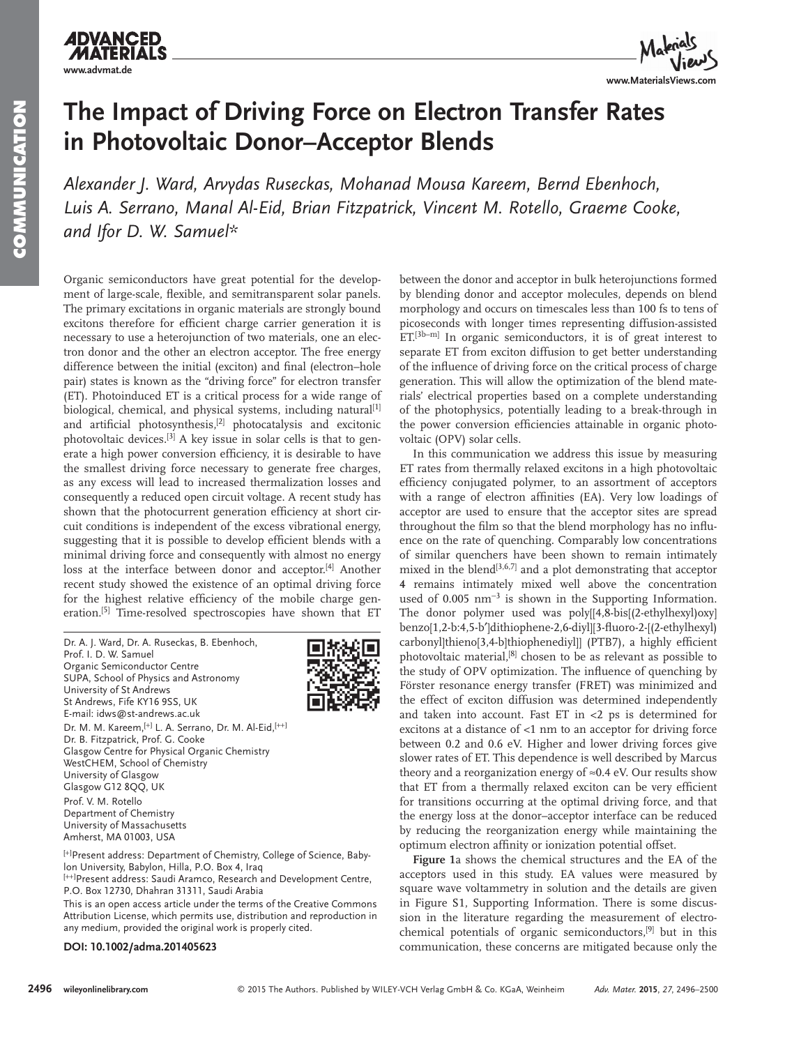## **ADVANCED www.advmat.de**



## **The Impact of Driving Force on Electron Transfer Rates in Photovoltaic Donor–Acceptor Blends**

Alexander J. Ward, Arvydas Ruseckas, Mohanad Mousa Kareem, Bernd Ebenhoch, Luis A. Serrano, Manal Al-Eid, Brian Fitzpatrick, Vincent M. Rotello, Graeme Cooke, and Ifor D. W. Samuel\*

 Organic semiconductors have great potential for the development of large-scale, flexible, and semitransparent solar panels. The primary excitations in organic materials are strongly bound excitons therefore for efficient charge carrier generation it is necessary to use a heterojunction of two materials, one an electron donor and the other an electron acceptor. The free energy difference between the initial (exciton) and final (electron-hole pair) states is known as the "driving force" for electron transfer (ET). Photoinduced ET is a critical process for a wide range of biological, chemical, and physical systems, including natural<sup>[1]</sup> and artificial photosynthesis, $[2]$  photocatalysis and excitonic photovoltaic devices.<sup>[3]</sup> A key issue in solar cells is that to generate a high power conversion efficiency, it is desirable to have the smallest driving force necessary to generate free charges, as any excess will lead to increased thermalization losses and consequently a reduced open circuit voltage. A recent study has shown that the photocurrent generation efficiency at short circuit conditions is independent of the excess vibrational energy, suggesting that it is possible to develop efficient blends with a minimal driving force and consequently with almost no energy loss at the interface between donor and acceptor.<sup>[4]</sup> Another recent study showed the existence of an optimal driving force for the highest relative efficiency of the mobile charge generation.<sup>[5]</sup> Time-resolved spectroscopies have shown that ET

 Dr. A. J. Ward, Dr. A. Ruseckas, B. Ebenhoch, Prof. I. D. W. Samuel Organic Semiconductor Centre SUPA, School of Physics and Astronomy University of St Andrews St Andrews, Fife KY16 9SS, UK E-mail: idws@st-andrews.ac.uk Dr. M. M. Kareem, [+] L. A. Serrano, Dr. M. Al-Eid, [++] Dr. B. Fitzpatrick, Prof. G. Cooke Glasgow Centre for Physical Organic Chemistry WestCHEM, School of Chemistry University of Glasgow Glasgow G12 8QQ, UK Prof. V. M. Rotello Department of Chemistry University of Massachusetts Amherst, MA 01003, USA

[+]Present address: Department of Chemistry, College of Science, Babylon University, Babylon, Hilla, P.O. Box 4, Iraq

[++]Present address: Saudi Aramco, Research and Development Centre, P.O. Box 12730, Dhahran 31311, Saudi Arabia

This is an open access article under the terms of the Creative Commons Attribution License, which permits use, distribution and reproduction in any medium, provided the original work is properly cited.

#### **DOI: 10.1002/adma.201405623**

between the donor and acceptor in bulk heterojunctions formed by blending donor and acceptor molecules, depends on blend morphology and occurs on timescales less than 100 fs to tens of picoseconds with longer times representing diffusion-assisted  $ET<sup>[3b-m]</sup>$  In organic semiconductors, it is of great interest to separate ET from exciton diffusion to get better understanding of the influence of driving force on the critical process of charge generation. This will allow the optimization of the blend materials' electrical properties based on a complete understanding of the photophysics, potentially leading to a break-through in the power conversion efficiencies attainable in organic photovoltaic (OPV) solar cells.

 In this communication we address this issue by measuring ET rates from thermally relaxed excitons in a high photovoltaic efficiency conjugated polymer, to an assortment of acceptors with a range of electron affinities (EA). Very low loadings of acceptor are used to ensure that the acceptor sites are spread throughout the film so that the blend morphology has no influence on the rate of quenching. Comparably low concentrations of similar quenchers have been shown to remain intimately mixed in the blend<sup>[3,6,7]</sup> and a plot demonstrating that acceptor **4** remains intimately mixed well above the concentration used of 0.005 nm<sup>-3</sup> is shown in the Supporting Information. The donor polymer used was poly[[4,8-bis[(2-ethylhexyl)oxy] benzo[1,2-b:4,5-b′]dithiophene-2,6-diyl][3-fl uoro-2-[(2-ethylhexyl) carbonyl]thieno[3,4-b]thiophenediyl]] (PTB7), a highly efficient photovoltaic material,<sup>[8]</sup> chosen to be as relevant as possible to the study of OPV optimization. The influence of quenching by Förster resonance energy transfer (FRET) was minimized and the effect of exciton diffusion was determined independently and taken into account. Fast ET in  $<$ 2 ps is determined for excitons at a distance of <1 nm to an acceptor for driving force between 0.2 and 0.6 eV. Higher and lower driving forces give slower rates of ET. This dependence is well described by Marcus theory and a reorganization energy of  $\approx 0.4$  eV. Our results show that ET from a thermally relaxed exciton can be very efficient for transitions occurring at the optimal driving force, and that the energy loss at the donor–acceptor interface can be reduced by reducing the reorganization energy while maintaining the optimum electron affinity or ionization potential offset.

**Figure 1** a shows the chemical structures and the EA of the acceptors used in this study. EA values were measured by square wave voltammetry in solution and the details are given in Figure S1, Supporting Information. There is some discussion in the literature regarding the measurement of electrochemical potentials of organic semiconductors, <a>[9]</a> but in this communication, these concerns are mitigated because only the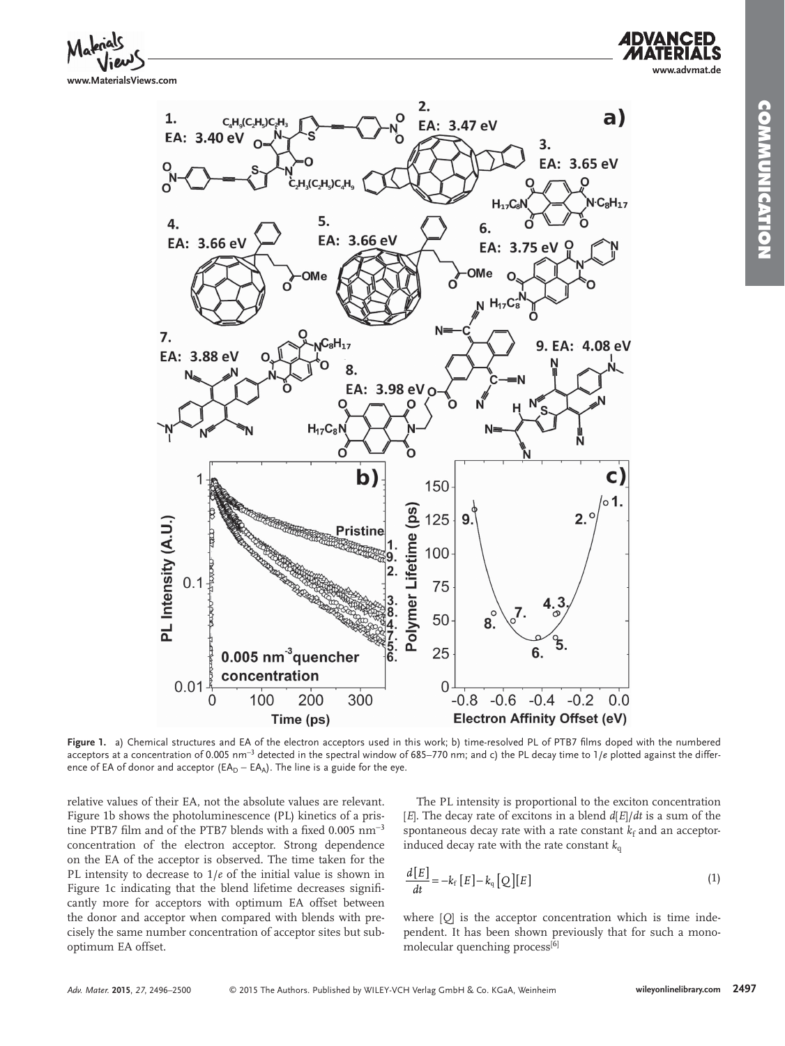**www.advmat.de**





Figure 1. a) Chemical structures and EA of the electron acceptors used in this work; b) time-resolved PL of PTB7 films doped with the numbered acceptors at a concentration of 0.005 nm<sup>-3</sup> detected in the spectral window of 685–770 nm; and c) the PL decay time to 1/*e* plotted against the difference of EA of donor and acceptor ( $EA_D - EA_A$ ). The line is a guide for the eye.

relative values of their EA, not the absolute values are relevant. Figure 1b shows the photoluminescence (PL) kinetics of a pristine PTB7 film and of the PTB7 blends with a fixed  $0.005$  nm<sup>-3</sup> concentration of the electron acceptor. Strong dependence on the EA of the acceptor is observed. The time taken for the PL intensity to decrease to  $1/e$  of the initial value is shown in Figure 1c indicating that the blend lifetime decreases significantly more for acceptors with optimum EA offset between the donor and acceptor when compared with blends with precisely the same number concentration of acceptor sites but suboptimum EA offset.

 The PL intensity is proportional to the exciton concentration  $[E]$ . The decay rate of excitons in a blend  $d[E]/dt$  is a sum of the spontaneous decay rate with a rate constant  $k_f$  and an acceptorinduced decay rate with the rate constant  $k_q$ 

$$
\frac{d[E]}{dt} = -k_f [E] - k_q [Q][E]
$$
\n(1)

where  $[Q]$  is the acceptor concentration which is time independent. It has been shown previously that for such a monomolecular quenching process $[6]$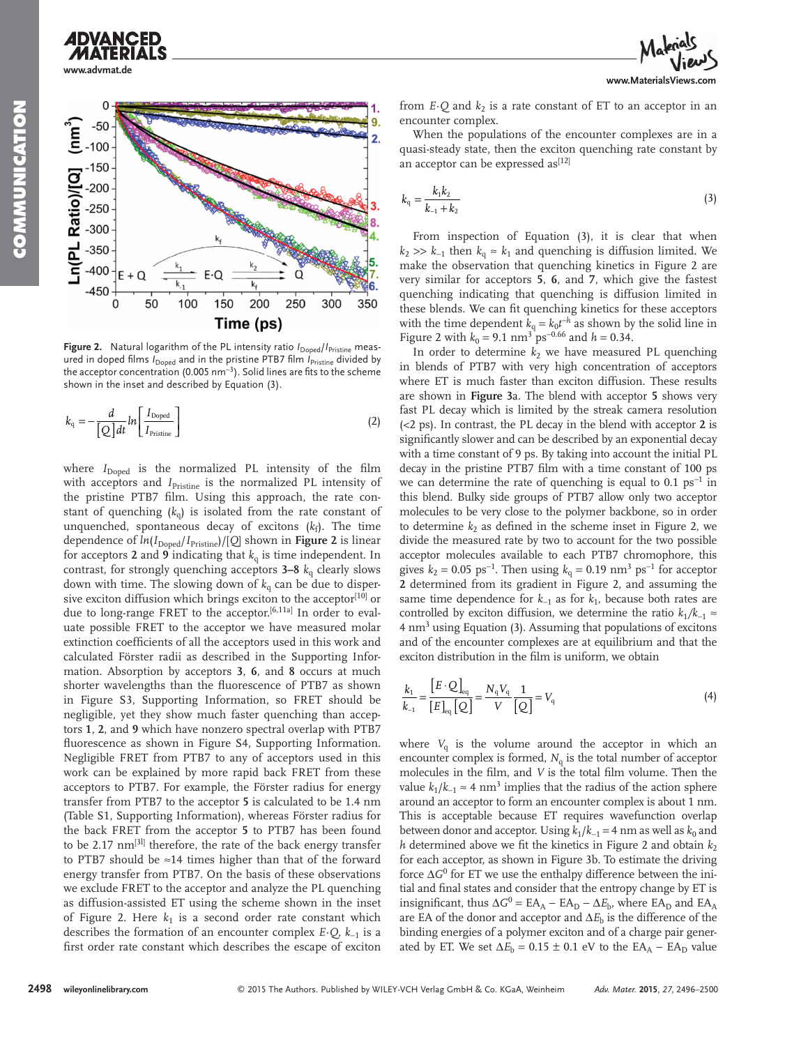# **ADVANCED www.advmat.de**



**Figure 2.** Natural logarithm of the PL intensity ratio  $I_{Doped}/I_{Pristine}$  measured in doped films *I*<sub>Doped</sub> and in the pristine PTB7 film *I*<sub>Pristine</sub> divided by the acceptor concentration (0.005 nm<sup>-3</sup>). Solid lines are fits to the scheme shown in the inset and described by Equation (3).

$$
k_{\rm q} = -\frac{d}{\left[Q\right]dt}ln\left[\frac{I_{\rm Doped}}{I_{\rm Pristine}}\right]
$$
 (2)

where  $I_{\text{Doned}}$  is the normalized PL intensity of the film with acceptors and *I*<sub>Pristine</sub> is the normalized PL intensity of the pristine PTB7 film. Using this approach, the rate constant of quenching  $(k_0)$  is isolated from the rate constant of unquenched, spontaneous decay of excitons  $(k_f)$ . The time dependence of  $ln(I_{\text{Doped}}/I_{\text{Pristine}}) / [Q]$  shown in Figure 2 is linear for acceptors 2 and 9 indicating that  $k_q$  is time independent. In contrast, for strongly quenching acceptors  $3-8$   $k<sub>q</sub>$  clearly slows down with time. The slowing down of  $k_q$  can be due to dispersive exciton diffusion which brings exciton to the acceptor $[10]$  or due to long-range FRET to the acceptor.  $[6,11a]$  In order to evaluate possible FRET to the acceptor we have measured molar extinction coefficients of all the acceptors used in this work and calculated Förster radii as described in the Supporting Information. Absorption by acceptors **3** , **6** , and **8** occurs at much shorter wavelengths than the fluorescence of PTB7 as shown in Figure S3, Supporting Information, so FRET should be negligible, yet they show much faster quenching than acceptors **1** , **2** , and **9** which have nonzero spectral overlap with PTB7 fluorescence as shown in Figure S4, Supporting Information. Negligible FRET from PTB7 to any of acceptors used in this work can be explained by more rapid back FRET from these acceptors to PTB7. For example, the Förster radius for energy transfer from PTB7 to the acceptor **5** is calculated to be 1.4 nm (Table S1, Supporting Information), whereas Förster radius for the back FRET from the acceptor **5** to PTB7 has been found to be 2.17 nm<sup>[3l]</sup> therefore, the rate of the back energy transfer to PTB7 should be ≈14 times higher than that of the forward energy transfer from PTB7. On the basis of these observations we exclude FRET to the acceptor and analyze the PL quenching as diffusion-assisted ET using the scheme shown in the inset of Figure 2. Here  $k_1$  is a second order rate constant which describes the formation of an encounter complex *E·Q* , *k*−1 is a first order rate constant which describes the escape of exciton

from  $E \cdot Q$  and  $k_2$  is a rate constant of ET to an acceptor in an encounter complex.

 When the populations of the encounter complexes are in a quasi-steady state, then the exciton quenching rate constant by an acceptor can be expressed as<sup>[12]</sup>

$$
k_{\rm q} = \frac{k_1 k_2}{k_{-1} + k_2} \tag{3}
$$

From inspection of Equation  $(3)$ , it is clear that when  $k_2 \gg k_{-1}$  then  $k_q \approx k_1$  and quenching is diffusion limited. We make the observation that quenching kinetics in Figure 2 are very similar for acceptors **5** , **6** , and **7** , which give the fastest quenching indicating that quenching is diffusion limited in these blends. We can fit quenching kinetics for these acceptors with the time dependent  $k_q = k_0 t^{-h}$  as shown by the solid line in Figure 2 with  $k_0 = 9.1$  nm<sup>3</sup> ps<sup>-0.66</sup> and  $h = 0.34$ .

In order to determine  $k_2$  we have measured PL quenching in blends of PTB7 with very high concentration of acceptors where ET is much faster than exciton diffusion. These results are shown in **Figure 3** a. The blend with acceptor **5** shows very fast PL decay which is limited by the streak camera resolution (<2 ps). In contrast, the PL decay in the blend with acceptor **2** is significantly slower and can be described by an exponential decay with a time constant of 9 ps. By taking into account the initial PL decay in the pristine PTB7 film with a time constant of 100 ps we can determine the rate of quenching is equal to  $0.1 \text{ ps}^{-1}$  in this blend. Bulky side groups of PTB7 allow only two acceptor molecules to be very close to the polymer backbone, so in order to determine  $k_2$  as defined in the scheme inset in Figure 2, we divide the measured rate by two to account for the two possible acceptor molecules available to each PTB7 chromophore, this gives  $k_2 = 0.05 \text{ ps}^{-1}$ . Then using  $k_q = 0.19 \text{ nm}^3 \text{ ps}^{-1}$  for acceptor 2 determined from its gradient in Figure 2, and assuming the same time dependence for  $k_{-1}$  as for  $k_1$ , because both rates are controlled by exciton diffusion, we determine the ratio  $k_1/k_{-1} \approx$ 4 nm<sup>3</sup> using Equation (3). Assuming that populations of excitons and of the encounter complexes are at equilibrium and that the exciton distribution in the film is uniform, we obtain

$$
\frac{k_1}{k_{-1}} = \frac{[E \cdot Q]}{[E]_{\text{eq}}} = \frac{N_{\text{q}} V_{\text{q}}}{V} \frac{1}{[Q]} = V_{\text{q}}
$$
(4)

where  $V_q$  is the volume around the acceptor in which an encounter complex is formed,  $N<sub>q</sub>$  is the total number of acceptor molecules in the film, and *V* is the total film volume. Then the value  $k_1 / k_{-1}$  ≈ 4 nm<sup>3</sup> implies that the radius of the action sphere around an acceptor to form an encounter complex is about 1 nm. This is acceptable because ET requires wavefunction overlap between donor and acceptor. Using  $k_1 / k_{-1} = 4$  nm as well as  $k_0$  and *h* determined above we fit the kinetics in Figure 2 and obtain  $k_2$ for each acceptor, as shown in Figure 3b. To estimate the driving force Δ*G*<sup>0</sup> for ET we use the enthalpy difference between the initial and final states and consider that the entropy change by ET is insignificant, thus  $\Delta G^0 = EA_A - EA_D - \Delta E_b$ , where  $EA_D$  and  $EA_A$ are EA of the donor and acceptor and  $\Delta E_{\rm b}$  is the difference of the binding energies of a polymer exciton and of a charge pair generated by ET. We set  $\Delta E_b = 0.15 \pm 0.1$  eV to the EA<sub>A</sub> – EA<sub>D</sub> value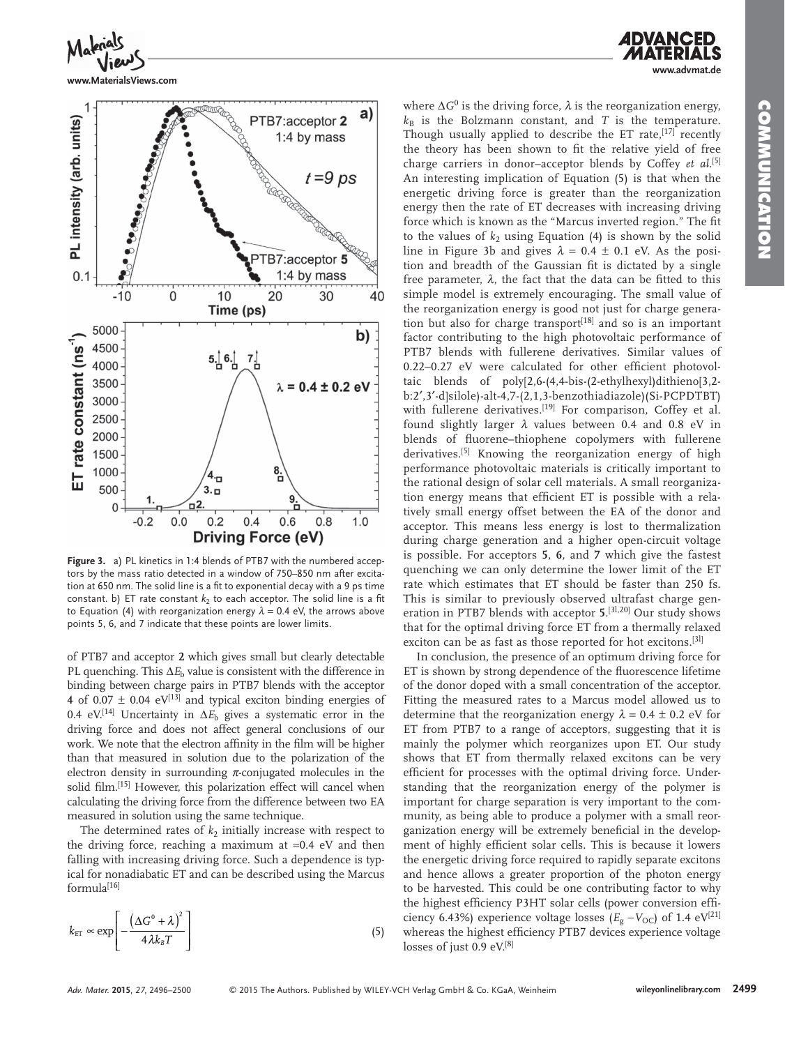**www.advmat.de**



**www.MaterialsViews.com**



**Figure 3.** a) PL kinetics in 1:4 blends of PTB7 with the numbered acceptors by the mass ratio detected in a window of 750–850 nm after excitation at 650 nm. The solid line is a fit to exponential decay with a 9 ps time constant. b) ET rate constant  $k_2$  to each acceptor. The solid line is a fit to Equation (4) with reorganization energy  $\lambda = 0.4$  eV, the arrows above points 5, 6, and 7 indicate that these points are lower limits.

of PTB7 and acceptor **2** which gives small but clearly detectable PL quenching. This  $\Delta E_b$  value is consistent with the difference in binding between charge pairs in PTB7 blends with the acceptor **4** of  $0.07 \pm 0.04$  eV<sup>[13]</sup> and typical exciton binding energies of 0.4 eV.<sup>[14]</sup> Uncertainty in  $\Delta E_b$  gives a systematic error in the driving force and does not affect general conclusions of our work. We note that the electron affinity in the film will be higher than that measured in solution due to the polarization of the electron density in surrounding  $\pi$ -conjugated molecules in the solid film. [15] However, this polarization effect will cancel when calculating the driving force from the difference between two EA measured in solution using the same technique.

The determined rates of  $k_2$  initially increase with respect to the driving force, reaching a maximum at ≈0.4 eV and then falling with increasing driving force. Such a dependence is typical for nonadiabatic ET and can be described using the Marcus  $formula<sup>[16]</sup>$ </sup>

$$
k_{\text{ET}} \propto \exp\left[-\frac{\left(\Delta G^0 + \lambda\right)^2}{4\lambda k_B T}\right]
$$
\n(5)

where  $\Delta G^0$  is the driving force,  $\lambda$  is the reorganization energy,  $k_B$  is the Bolzmann constant, and *T* is the temperature. Though usually applied to describe the ET rate,  $[17]$  recently the theory has been shown to fit the relative yield of free charge carriers in donor-acceptor blends by Coffey et al.<sup>[5]</sup> An interesting implication of Equation  $(5)$  is that when the energetic driving force is greater than the reorganization energy then the rate of ET decreases with increasing driving force which is known as the "Marcus inverted region." The fit to the values of  $k_2$  using Equation (4) is shown by the solid line in Figure 3b and gives  $\lambda = 0.4 \pm 0.1$  eV. As the position and breadth of the Gaussian fit is dictated by a single free parameter,  $\lambda$ , the fact that the data can be fitted to this simple model is extremely encouraging. The small value of the reorganization energy is good not just for charge generation but also for charge transport $[18]$  and so is an important factor contributing to the high photovoltaic performance of PTB7 blends with fullerene derivatives. Similar values of  $0.22-0.27$  eV were calculated for other efficient photovoltaic blends of poly[2,6-(4,4-bis-(2-ethylhexyl)dithieno[3,2 b:2′,3′-d]silole)-alt-4,7-(2,1,3-benzothiadiazole)(Si-PCPDTBT) with fullerene derivatives.  $[19]$  For comparison, Coffey et al. found slightly larger  $\lambda$  values between 0.4 and 0.8 eV in blends of fluorene–thiophene copolymers with fullerene derivatives.<sup>[5]</sup> Knowing the reorganization energy of high performance photovoltaic materials is critically important to the rational design of solar cell materials. A small reorganization energy means that efficient ET is possible with a relatively small energy offset between the EA of the donor and acceptor. This means less energy is lost to thermalization during charge generation and a higher open-circuit voltage is possible. For acceptors **5** , **6** , and **7** which give the fastest quenching we can only determine the lower limit of the ET rate which estimates that ET should be faster than 250 fs. This is similar to previously observed ultrafast charge generation in PTB7 blends with acceptor **5**.<sup>[3],20]</sup> Our study shows that for the optimal driving force ET from a thermally relaxed exciton can be as fast as those reported for hot excitons.<sup>[3]</sup>

 In conclusion, the presence of an optimum driving force for ET is shown by strong dependence of the fluorescence lifetime of the donor doped with a small concentration of the acceptor. Fitting the measured rates to a Marcus model allowed us to determine that the reorganization energy  $\lambda = 0.4 \pm 0.2$  eV for ET from PTB7 to a range of acceptors, suggesting that it is mainly the polymer which reorganizes upon ET. Our study shows that ET from thermally relaxed excitons can be very efficient for processes with the optimal driving force. Understanding that the reorganization energy of the polymer is important for charge separation is very important to the community, as being able to produce a polymer with a small reorganization energy will be extremely beneficial in the development of highly efficient solar cells. This is because it lowers the energetic driving force required to rapidly separate excitons and hence allows a greater proportion of the photon energy to be harvested. This could be one contributing factor to why the highest efficiency P3HT solar cells (power conversion efficiency 6.43%) experience voltage losses ( $E_g - V_{\text{OC}}$ ) of 1.4 eV<sup>[21]</sup> whereas the highest efficiency PTB7 devices experience voltage losses of just  $0.9 \text{ eV}^{[8]}$